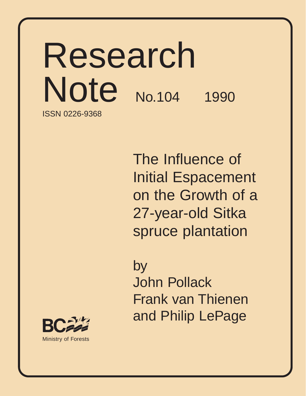# Research Note No.104 1990 ISSN 0226-9368

The Influence of Initial Espacement on the Growth of a 27-year-old Sitka spruce plantation

by

John Pollack Frank van Thienen and Philip LePage

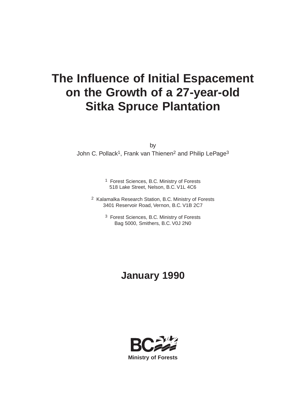# **The Influence of Initial Espacement on the Growth of a 27-year-old Sitka Spruce Plantation**

by

John C. Pollack<sup>1</sup>, Frank van Thienen<sup>2</sup> and Philip LePage<sup>3</sup>

- 1 Forest Sciences, B.C. Ministry of Forests 518 Lake Street, Nelson, B.C. V1L 4C6
- 2 Kalamalka Research Station, B.C. Ministry of Forests 3401 Reservoir Road, Vernon, B.C. V1B 2C7
	- 3 Forest Sciences, B.C. Ministry of Forests Bag 5000, Smithers, B.C. V0J 2N0

# **January 1990**

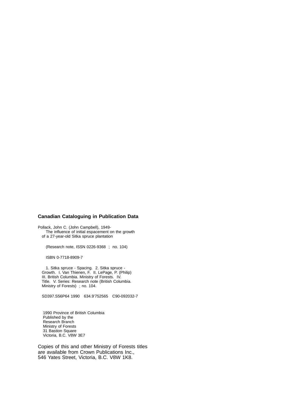#### **Canadian Cataloguing in Publication Data**

Pollack, John C. (John Campbell), 1949- The influence of initial espacement on the growth of a 27-year-old Sitka spruce plantation

(Research note, ISSN 0226-9368 ; no. 104)

ISBN 0-7718-8909-7

1. Sitka spruce - Spacing. 2. Sitka spruce - Growth. I. Van Thienen, F. II. LePage, P. (Philip) III. British Columbia. Ministry of Forests. IV. Title. V. Series: Research note (British Columbia. Ministry of Forests) ; no. 104.

SD397.S56P64 1990 634.9'752565 C90-092032-7

 1990 Province of British Columbia Published by the Research Branch Ministry of Forests 31 Bastion Square Victoria, B.C. V8W 3E7

Copies of this and other Ministry of Forests titles are available from Crown Publications Inc., 546 Yates Street, Victoria, B.C. V8W 1K8.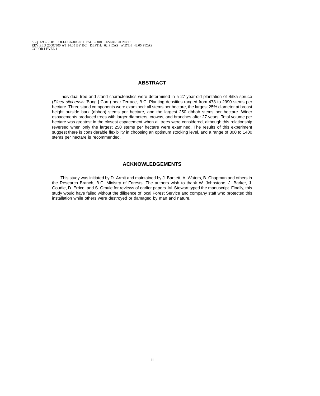# **ABSTRACT**

<span id="page-3-1"></span><span id="page-3-0"></span>Individual tree and stand characteristics were determined in a 27-year-old plantation of Sitka spruce (Picea sitchensis [Bong.] Carr.) near Terrace, B.C. Planting densities ranged from 478 to 2990 stems per hectare. Three stand components were examined: all stems per hectare, the largest 25% diameter at breast height outside bark (dbhob) stems per hectare, and the largest 250 dbhob stems per hectare. Wider espacements produced trees with larger diameters, crowns, and branches after 27 years. Total volume per hectare was greatest in the closest espacement when all trees were considered, although this relationship reversed when only the largest 250 stems per hectare were examined. The results of this experiment suggest there is considerable flexibility in choosing an optimum stocking level, and a range of 800 to 1400 stems per hectare is recommended.

# **ACKNOWLEDGEMENTS**

This study was initiated by D. Armit and maintained by J. Bartlett, A. Waters, B. Chapman and others in the Research Branch, B.C. Ministry of Forests. The authors wish to thank W. Johnstone, J. Barker, J. Goudie, D. Errico, and S. Omule for reviews of earlier papers. M. Stewart typed the manuscript. Finally, this study would have failed without the diligence of local Forest Service and company staff who protected this installation while others were destroyed or damaged by man and nature.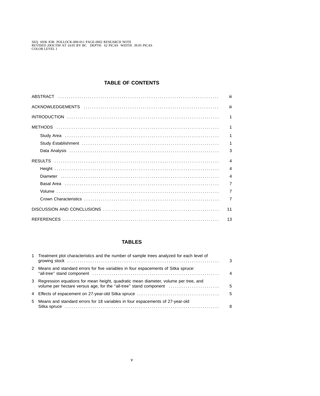# **TABLE OF CONTENTS**

| iii                     |
|-------------------------|
| iii                     |
| $\blacktriangleleft$    |
| $\overline{1}$          |
| 1                       |
| 1                       |
| 3                       |
| $\overline{\mathbf{4}}$ |
| $\overline{4}$          |
| $\overline{4}$          |
| $\overline{7}$          |
| $\overline{7}$          |
| $\overline{7}$          |
| 11                      |
| 13                      |

# **TABLES**

| 1 Treatment plot characteristics and the number of sample trees analyzed for each level of                                                                 | $\mathcal{B}$ |
|------------------------------------------------------------------------------------------------------------------------------------------------------------|---------------|
| 2 Means and standard errors for five variables in four espacements of Sitka spruce:                                                                        | 4             |
| 3 Regression equations for mean height, quadratic mean diameter, volume per tree, and<br>volume per hectare versus age, for the "all-tree" stand component | 5             |
|                                                                                                                                                            | - 5           |
| 5 Means and standard errors for 18 variables in four espacements of 27-year-old                                                                            | 8             |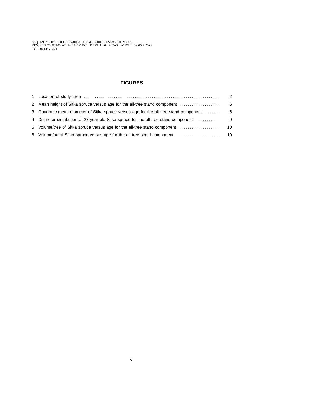# **FIGURES**

|                                                                                       | 2  |
|---------------------------------------------------------------------------------------|----|
| 2 Mean height of Sitka spruce versus age for the all-tree stand component             | -6 |
| 3 Quadratic mean diameter of Sitka spruce versus age for the all-tree stand component | -6 |
| 4 Diameter distribution of 27-year-old Sitka spruce for the all-tree stand component  | 9  |
| 5 Volume/tree of Sitka spruce versus age for the all-tree stand component             | 10 |
| 6 Volume/ha of Sitka spruce versus age for the all-tree stand component               | 10 |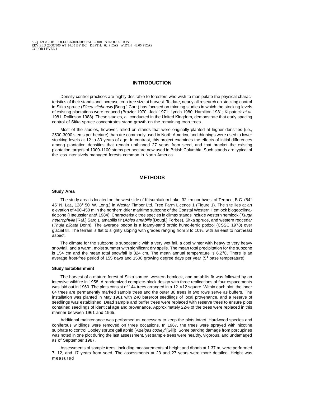## **INTRODUCTION**

<span id="page-6-0"></span>Density control practices are highly desirable to foresters who wish to manipulate the physical characteristics of their stands and increase crop tree size at harvest. To date, nearly all research on stocking control in Sitka spruce (Picea sitchensis [Bong.] Carr.) has focused on thinning studies in which the stocking levels of existing plantations were reduced (Brazier 1970; Jack 1971; Lynch 1980; Hamilton 1981; Kilpatrick et al. 1981; Rollinson 1988). These studies, all conducted in the United Kingdom, demonstrate that early spacing control of Sitka spruce concentrates stand growth on the remaining crop trees.

<span id="page-6-1"></span>Most of the studies, however, relied on stands that were originally planted at higher densities (i.e., 2500-3000 stems per hectare) than are commonly used in North America, and thinnings were used to lower stocking levels at 12 to 30 years of age. In contrast, this project examines the effects of initial differences among plantation densities that remain unthinned 27 years from seed, and that bracket the existing plantation targets of 1000-1100 stems per hectare now used in British Columbia. Such stands are typical of the less intensively managed forests common in North America.

# **METHODS**

#### **Study Area**

<span id="page-6-2"></span>The study area is located on the west side of Kitsumkalum Lake, 32 km northwest of Terrace, B.C. (54 $^{\circ}$ 45' N. Lat., 128° 50' W. Long.) in Westar Timber Ltd. Tree Farm Licence 1 (Figure 1). The site lies at an elevation of 400-450 m in the northern drier maritime subzone of the Coastal Western Hemlock biogeoclimatic zone (Haeussler et al. 1984). Characteristic tree species in climax stands include western hemlock (Tsuga heterophylla [Raf.] Sarg.), amabilis fir (Abies amabilis [Dougl.] Forbes), Sitka spruce, and western redcedar (Thuja plicata Donn). The average pedon is a loamy-sand orthic humo-ferric podzol (CSSC 1978) over glacial till. The terrain is flat to slightly sloping with grades ranging from 3 to 10%, with an east to northeast aspect.

The climate for the subzone is suboceanic with a very wet fall, a cool winter with heavy to very heavy snowfall, and a warm, moist summer with significant dry spells. The mean total precipitation for the subzone is 154 cm and the mean total snowfall is 324 cm. The mean annual temperature is 6.2°C. There is an average frost-free period of 155 days and 1500 growing degree days per year (5° base temperature).

#### **Study Establishment**

The harvest of a mature forest of Sitka spruce, western hemlock, and amabilis fir was followed by an intensive wildfire in 1958. A randomized complete-block design with three replications of four espacements was laid out in 1960. The plots consist of 144 trees arranged in a  $12 \times 12$  square. Within each plot, the inner 64 trees are permanently marked sample trees and the outer 80 trees in two rows serve as buffers. The installation was planted in May 1961 with 2+0 bareroot seedlings of local provenance, and a reserve of seedlings was established. Dead sample and buffer trees were replaced with reserve trees to ensure plots contained seedlings of identical age and provenance. Approximately 22% of the trees were replaced in this manner between 1961 and 1965.

Additional maintenance was performed as necessary to keep the plots intact. Hardwood species and coniferous wildlings were removed on three occasions. In 1967, the trees were sprayed with nicotine sulphate to control Cooley spruce gall aphid (Adelges cooleyi [Gill]). Some barking damage from porcupines was noted in one plot during the last assessment, yet sample trees were healthy, vigorous, and undamaged as of September 1987.

Assessments of sample trees, including measurements of height and dbhob at 1.37 m, were performed 7, 12, and 17 years from seed. The assessments at 23 and 27 years were more detailed. Height was measured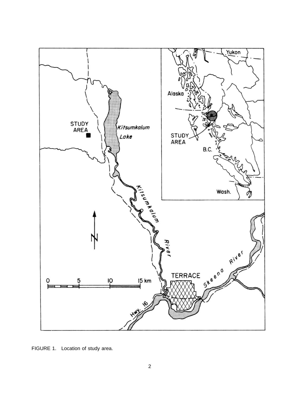<span id="page-7-0"></span>

FIGURE 1. Location of study area.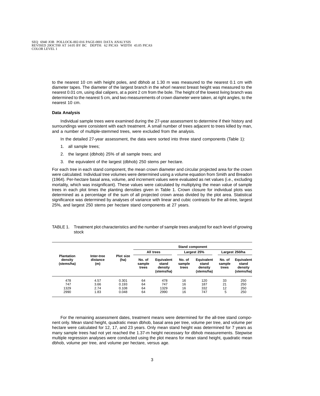<span id="page-8-0"></span>to the nearest 10 cm with height poles, and dbhob at 1.30 m was measured to the nearest 0.1 cm with diameter tapes. The diameter of the largest branch in the whorl nearest breast height was measured to the nearest 0.01 cm, using dial calipers, at a point 2 cm from the bole. The height of the lowest living branch was determined to the nearest 5 cm, and two measurements of crown diameter were taken, at right angles, to the nearest 10 cm.

#### **Data Analysis**

Individual sample trees were examined during the 27-year assessment to determine if their history and surroundings were consistent with each treatment. A small number of trees adjacent to trees killed by man, and a number of multiple-stemmed trees, were excluded from the analysis.

In the detailed 27-year assessment, the data were sorted into three stand components (Table 1):

- 1. all sample trees;
- 2. the largest (dbhob) 25% of all sample trees; and
- 3. the equivalent of the largest (dbhob) 250 stems per hectare.

For each tree in each stand component, the mean crown diameter and circular projected area for the crown were calculated. Individual tree volumes were determined using a volume equation from Smith and Breadon (1964). Per-hectare basal area, volume, and increment values were evaluated as net values (i.e., excluding mortality, which was insignificant). These values were calculated by multiplying the mean value of sample trees in each plot times the planting densities given in Table 1. Crown closure for individual plots was determined as a percentage of the sum of all projected crown areas divided by the plot area. Statistical significance was determined by analyses of variance with linear and cubic contrasts for the all-tree, largest 25%, and largest 250 stems per hectare stand components at 27 years.

|                                            |                               |                          | <b>Stand component</b>    |                                                     |                           |                                                     |                           |                                              |
|--------------------------------------------|-------------------------------|--------------------------|---------------------------|-----------------------------------------------------|---------------------------|-----------------------------------------------------|---------------------------|----------------------------------------------|
|                                            | All trees                     |                          | Largest 25%               |                                                     | Largest 250/ha            |                                                     |                           |                                              |
| <b>Plantation</b><br>density<br>(stems/ha) | Inter-tree<br>distance<br>(m) | <b>Plot size</b><br>(ha) | No. of<br>sample<br>trees | <b>Equivalent</b><br>stand<br>density<br>(stems/ha) | No. of<br>sample<br>trees | <b>Equivalent</b><br>stand<br>density<br>(stems/ha) | No. of<br>sample<br>trees | Equivalent<br>stand<br>density<br>(stems/ha) |
| 478                                        | 4.57                          | 0.301                    | 64                        | 478                                                 | 16                        | 120                                                 | 33                        | 250                                          |
| 747                                        | 3.66                          | 0.193                    | 64                        | 747                                                 | 16                        | 187                                                 | 21                        | 250                                          |
| 1329                                       | 2.74                          | 0.108                    | 64                        | 1329                                                | 16                        | 332                                                 | 12                        | 250                                          |
| 2990                                       | 1.83                          | 0.048                    | 64                        | 2990                                                | 16                        | 747                                                 | 5                         | 250                                          |

#### <span id="page-8-1"></span>TABLE 1. Treatment plot characteristics and the number of sample trees analyzed for each level of growing stock

For the remaining assessment dates, treatment means were determined for the all-tree stand component only. Mean stand height, quadratic mean dbhob, basal area per tree, volume per tree, and volume per hectare were calculated for 12, 17, and 23 years. Only mean stand height was determined for 7 years as many sample trees had not yet reached the 1.37-m height necessary for dbhob measurements. Stepwise multiple regression analyses were conducted using the plot means for mean stand height, quadratic mean dbhob, volume per tree, and volume per hectare, versus age.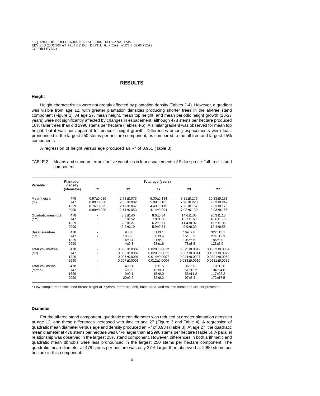# **RESULTS**

#### <span id="page-9-0"></span>**Height**

Height characteristics were not greatly affected by plantation density (Tables 2-4). However, a gradient was visible from age 12, with greater plantation densities producing shorter trees in the all-tree stand component (Figure 2). At age 27, mean height, mean top height, and mean periodic height growth (23-27 years) were not significantly affected by changes in espacement, although 478 stems per hectare produced 16% taller trees than did 2990 stems per hectare (Tables 4-5). A similar gradient was observed for mean top height, but it was not apparent for periodic height growth. Differences among espacements were least pronounced in the largest 250 stems per hectare component, as compared to the all-tree and largest 25% components.

A regression of height versus age produced an  $R<sup>2</sup>$  of 0.951 (Table 3).

<span id="page-9-2"></span>

| TABLE 2. Means and standard errors for five variables in four espacements of Sitka spruce: "all-tree" stand |  |
|-------------------------------------------------------------------------------------------------------------|--|
| component                                                                                                   |  |

<span id="page-9-1"></span>

|                                         | <b>Plantation</b>          |                                                                          |                                                                                    | Total age (years)                                                                  |                                                                                      |                                                                                          |  |
|-----------------------------------------|----------------------------|--------------------------------------------------------------------------|------------------------------------------------------------------------------------|------------------------------------------------------------------------------------|--------------------------------------------------------------------------------------|------------------------------------------------------------------------------------------|--|
| Variable                                | density<br>(stems/ha)      | 7 <sup>a</sup>                                                           | 12                                                                                 | 17                                                                                 | 23                                                                                   | 27                                                                                       |  |
| Mean height<br>(m)                      | 478<br>747<br>1329<br>2990 | $0.97 \pm 0.030$<br>$0.89 + 0.030$<br>$0.76 + 0.025$<br>$0.89 \pm 0.030$ | $2.71 \pm 0.073$<br>$2.58 + 0.082$<br>2.17±0.057<br>$2.11 \pm 0.053$               | $5.30 \pm 0.134$<br>$5.09 \pm 0.161$<br>$4.43 \pm 0.115$<br>4.14±0.094             | $8.31 \pm 0.176$<br>$7.90+0.223$<br>$7.23 \pm 0.157$<br>7.03±0.139                   | $10.33 \pm 0.191$<br>$9.83 \pm 0.242$<br>$9.33 \pm 0.175$<br>$8.93 \pm 0.155$            |  |
| Quadratic mean dbh<br>(cm)              | 478<br>747<br>1329<br>2990 | ۰<br>۰                                                                   | $3.3 \pm 0.40$<br>$3.3 \pm 0.52$<br>$2.3 \pm 0.27$<br>$2.2 \pm 0.19$               | $8.0 \pm 0.84$<br>$7.8 + 1.30$<br>$6.2 \pm 0.71$<br>$5.9 \pm 0.34$                 | $14.6 \pm 1.05$<br>$13.7 + 1.69$<br>$11.4 \pm 0.92$<br>$9.9 \pm 0.39$                | $20.3 \pm 1.13$<br>18.6±1.75<br>$15.2 \pm 1.05$<br>12.4±0.55                             |  |
| Basal area/tree<br>(cm <sup>2</sup> )   | 478<br>747<br>1329<br>2990 | ۰<br>۰                                                                   | $9+0.8$<br>$10+0.8$<br>$4 + 0.4$<br>$4 + 0.3$                                      | $51 + 3.1$<br>50±3.4<br>$31 + 2.1$<br>$28 + 1.6$                                   | $169 + 7.8$<br>$151 \pm 8.3$<br>$105 + 5.6$<br>78±3.5                                | $322+13.1$<br>$274 \pm 13.3$<br>$185 + 9.0$<br>$123 + 5.0$                               |  |
| Total volume/tree<br>(m <sup>3</sup> )  | 478<br>747<br>1329<br>2990 | ۰<br>۰                                                                   | $0.008 \pm 0.0002$<br>$0.008 + 0.0002$<br>$0.007 \pm 0.0001$<br>$0.007 \pm 0.0001$ | $0.020 \pm 0.0012$<br>$0.020 + 0.0011$<br>$0.014 \pm 0.0007$<br>$0.012 \pm 0.0004$ | $0.075 \pm 0.0042$<br>$0.067 \pm 0.0041$<br>$0.044 \pm 0.0027$<br>$0.033 \pm 0.0016$ | $0.1632 \pm 0.0084$<br>$0.1381 \pm 0.0079$<br>$0.0891 \pm 0.0053$<br>$0.0581 \pm 0.0029$ |  |
| Total volume/ha<br>(m <sup>3</sup> /ha) | 478<br>747<br>1329<br>2990 | ۰                                                                        | $4+0.1$<br>$6 + 0.3$<br>$9 + 0.1$<br>$20 \pm 0.2$                                  | $8 + 1.5$<br>$13 + 3.0$<br>$15+2.0$<br>$32+2.3$                                    | $36 \pm 6.6$<br>51±13.2<br>$58 + 11.2$<br>$97 + 8.3$                                 | 78±12.6<br>104±24.0<br>117±22.2<br>172±17.5                                              |  |

<sup>a</sup> Few sample trees exceeded breast height at 7 years; therefore, dbh, basal area, and volume measures are not presented.

#### **Diameter**

For the all-tree stand component, quadratic mean diameter was reduced at greater plantation densities at age 12, and these differences increased with time to age 27 (Figure 3 and Table 4). A regression of quadratic mean diameter versus age and density produced an  $R<sup>2</sup>$  of 0.934 (Table 3). At age 27, the quadratic mean diameter at 478 stems per hectare was 64% larger than at 2990 stems per hectare (Table 5). A parallel relationship was observed in the largest 25% stand component. However, differences in both arithmetic and quadratic mean dbhob's were less pronounced in the largest 250 stems per hectare component. The quadratic mean diameter at 478 stems per hectare was only 27% larger than observed at 2990 stems per hectare in this component.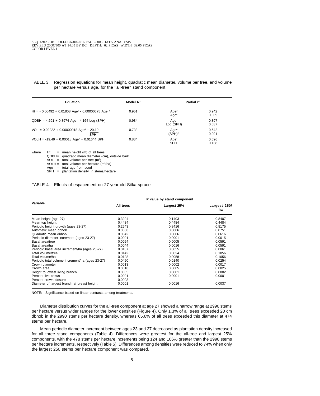<span id="page-10-0"></span>TABLE 3. Regression equations for mean height, quadratic mean diameter, volume per tree, and volume per hectare versus age, for the ''all-tree'' stand component

| <b>Equation</b>                                                          | Model $R^2$ | Partial $r^2$                        |                |
|--------------------------------------------------------------------------|-------------|--------------------------------------|----------------|
| Ht = $-0.00492 + 0.01808$ Age <sup>2</sup> - 0.00000675 Age <sup>4</sup> | 0.951       | Age <sup>2</sup><br>Age <sup>4</sup> | 0.942<br>0.009 |
| $QDBH = 4.691 + 0.8974$ Age - 4.164 Log (SPH)                            | 0.934       | Age<br>Log (SPH)                     | 0.897<br>0.037 |
| $VOL = 0.02222 + 0.00000018$ Age <sup>4</sup> + 20.10<br><b>SPH</b>      | 0.733       | Age <sup>4</sup><br>$(SPH)-1$        | 0.642<br>0.091 |
| VOLH = $-19.49 + 0.00018$ Age <sup>4</sup> + 0.01644 SPH                 | 0.834       | Age <sup>4</sup><br><b>SPH</b>       | 0.696<br>0.138 |

where  $Ht =$  mean height (m) of all trees QDBH= quadratic mean diameter (cm), outside bark VOL = total volume per tree  $(m<sup>3</sup>)$ VOLH = total volume per hectare  $(m^3/ha)$ Age  $=$  total age from seed  $SPH =$  plantation density, in stems/hectare

#### <span id="page-10-1"></span>TABLE 4. Effects of espacement on 27-year-old Sitka spruce

|                                                 |           | P value by stand component |                    |
|-------------------------------------------------|-----------|----------------------------|--------------------|
| Variable                                        | All trees | Largest 25%                | Largest 250/<br>ha |
| Mean height (age 27)                            | 0.3204    | 0.1403                     | 0.8407             |
| Mean top height                                 | 0.4484    | 0.4484                     | 0.4484             |
| Periodic height growth (ages 23-27)             | 0.2543    | 0.8416                     | 0.8175             |
| Arithmetic mean dbhob                           | 0.0068    | 0.0006                     | 0.0751             |
| Quadratic mean dbhob                            | 0.0042    | 0.0006                     | 0.0616             |
| Periodic diameter increment (ages 23-27)        | 0.0001    | 0.0001                     | 0.0015             |
| Basal area/tree                                 | 0.0054    | 0.0005                     | 0.0591             |
| Basal area/ha                                   | 0.0044    | 0.0016                     | 0.0591             |
| Periodic basal area increment/ha (ages 23-27)   | 0.0187    | 0.0055                     | 0.0061             |
| Total volume/tree                               | 0.0142    | 0.0024                     | 0.1056             |
| Total volume/ha                                 | 0.0128    | 0.0058                     | 0.1056             |
| Periodic total volume increment/ha (ages 23-27) | 0.0450    | 0.0140                     | 0.0254             |
| Crown diameter                                  | 0.0013    | 0.0002                     | 0.0017             |
| Crown area                                      | 0.0018    | 0.0005                     | 0.0025             |
| Height to lowest living branch                  | 0.0005    | 0.0001                     | 0.0002             |
| Percent live crown                              | 0.0001    | 0.0001                     | 0.0001             |
| Percent crown closure                           | 0.0003    |                            |                    |
| Diameter of largest branch at breast height     | 0.0001    | 0.0016                     | 0.0037             |

NOTE: Significance based on linear contrasts among treatments.

Diameter distribution curves for the all-tree component at age 27 showed a narrow range at 2990 stems per hectare versus wider ranges for the lower densities (Figure 4). Only 1.3% of all trees exceeded 20 cm dbhob in the 2990 stems per hectare density, whereas 65.6% of all trees exceeded this diameter at 474 stems per hectare.

Mean periodic diameter increment between ages 23 and 27 decreased as plantation density increased for all three stand components (Table 4). Differences were greatest for the all-tree and largest 25% components, with the 478 stems per hectare increments being 124 and 106% greater than the 2990 stems per hectare increments, respectively (Table 5). Differences among densities were reduced to 74% when only the largest 250 stems per hectare component was compared.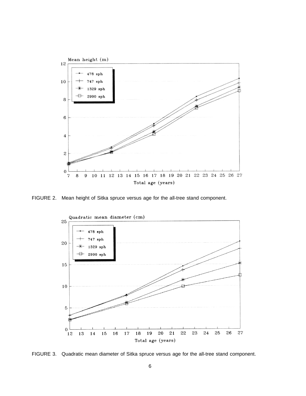<span id="page-11-0"></span>

<span id="page-11-1"></span>FIGURE 2. Mean height of Sitka spruce versus age for the all-tree stand component.



FIGURE 3. Quadratic mean diameter of Sitka spruce versus age for the all-tree stand component.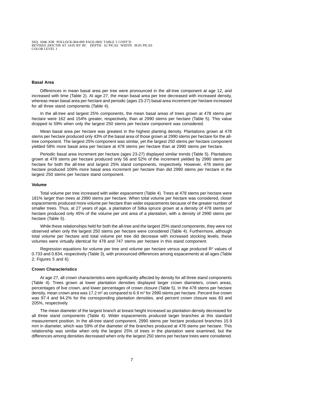#### <span id="page-12-0"></span>**Basal Area**

Differences in mean basal area per tree were pronounced in the all-tree component at age 12, and increased with time (Table 2). At age 27, the mean basal area per tree decreased with increased density, whereas mean basal area per hectare and periodic (ages 23-27) basal area increment per hectare increased for all three stand components (Table 4).

In the all-tree and largest 25% components, the mean basal areas of trees grown at 478 stems per hectare were 162 and 154% greater, respectively, than at 2990 stems per hectare (Table 5). This value dropped to 59% when only the largest 250 stems per hectare component was considered.

Mean basal area per hectare was greatest in the highest planting density. Plantations grown at 478 stems per hectare produced only 43% of the basal area of those grown at 2990 stems per hectare for the alltree component. The largest 25% component was similar, yet the largest 250 stems per hectare component yielded 58% more basal area per hectare at 478 stems per hectare than at 2990 stems per hectare.

Periodic basal area increment per hectare (ages 23-27) displayed similar trends (Table 5). Plantations grown at 478 stems per hectare produced only 56 and 52% of the increment yielded by 2990 stems per hectare for both the all-tree and largest 25% stand components, respectively. However, 478 stems per hectare produced 109% more basal area increment per hectare than did 2990 stems per hectare in the largest 250 stems per hectare stand component.

#### <span id="page-12-1"></span>**Volume**

Total volume per tree increased with wider espacement (Table 4). Trees at 478 stems per hectare were 181% larger than trees at 2990 stems per hectare. When total volume per hectare was considered, closer espacements produced more volume per hectare than wider espacements because of the greater number of smaller trees. Thus, at 27 years of age, a plantation of Sitka spruce grown at a density of 478 stems per hectare produced only 45% of the volume per unit area of a plantation, with a density of 2990 stems per hectare (Table 5).

While these relationships held for both the all-tree and the largest 25% stand components, they were not observed when only the largest 250 stems per hectare were considered (Table 4). Furthermore, although total volume per hectare and total volume per tree did decrease with increased stocking levels, these volumes were virtually identical for 478 and 747 stems per hectare in this stand component.

Regression equations for volume per tree and volume per hectare versus age produced  $R<sup>2</sup>$  values of 0.733 and 0.834, respectively (Table 3), with pronounced differences among espacements at all ages (Table 2; Figures 5 and 6).

#### **Crown Characteristics**

At age 27, all crown characteristics were significantly affected by density for all three stand components (Table 4). Trees grown at lower plantation densities displayed larger crown diameters, crown areas, percentages of live crown, and lower percentages of crown closure (Table 5). In the 478 stems per hectare density, mean crown area was 17.2  $m^2$  as compared to 6.9  $m^2$  for 2990 stems per hectare. Percent live crown was 97.4 and 84.2% for the corresponding plantation densities, and percent crown closure was 83 and 205%, respectively.

The mean diameter of the largest branch at breast height increased as plantation density decreased for all three stand components (Table 4). Wider espacements produced larger branches at this standard measurement position. In the all-tree stand component, 2990 stems per hectare produced branches 15.9 mm in diameter, which was 59% of the diameter of the branches produced at 478 stems per hectare. This relationship was similar when only the largest 25% of trees in the plantation were examined, but the differences among densities decreased when only the largest 250 stems per hectare trees were considered.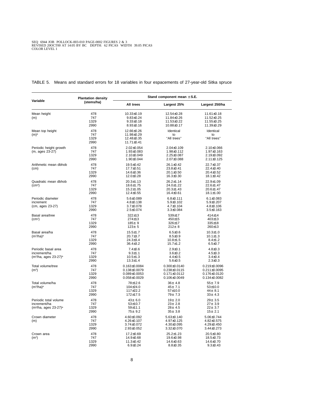|                                                                               | <b>Plantation density</b>  | Stand component mean $\pm$ S.E.                                                      |                                                                                      |                                                                                |  |
|-------------------------------------------------------------------------------|----------------------------|--------------------------------------------------------------------------------------|--------------------------------------------------------------------------------------|--------------------------------------------------------------------------------|--|
| Variable                                                                      | (stems/ha)                 | All trees                                                                            | Largest 25%                                                                          | Largest 250/ha                                                                 |  |
| Mean height<br>(m)                                                            | 478<br>747<br>1329<br>2990 | 10.33±0.19<br>$9.83 \pm 0.24$<br>$9.33 \pm 0.18$<br>$8.93 \pm 0.16$                  | 12.54±0.28<br>11.84±0.26<br>11.53±0.22<br>10.88±0.17                                 | $11.61 \pm 0.18$<br>11.52±0.25<br>11.55±0.25<br>11.39±0.29                     |  |
| Mean top height<br>$(m)^a$                                                    | 478<br>747<br>1329<br>2990 | 12.66±0.26<br>11.98±0.29<br>12.48±0.35<br>$11.71 \pm 0.41$                           | Identical<br>to<br>"All trees"                                                       | Identical<br>to<br>"All trees"                                                 |  |
| Periodic height growth<br>(m, ages 23-27)                                     | 478<br>747<br>1329<br>2990 | $2.02 \pm 0.054$<br>$1.93 \pm 0.083$<br>2.10±0.049<br>1.90±0.044                     | $2.04 \pm 0.109$<br>$1.98 \pm 0.112$<br>$2.25 \pm 0.087$<br>2.07±0.088               | $2.10 \pm 0.066$<br>$1.97 \pm 0.163$<br>$2.19 \pm 0.092$<br>$2.11 \pm 0.125$   |  |
| Arithmetic mean dbhob<br>(cm)                                                 | 478<br>747<br>1329<br>2990 | $19.5 \pm 0.42$<br>17.7±0.51<br>14.6±0.36<br>$12.0 \pm 0.28$                         | 26.1±0.42<br>$23.8 \pm 0.41$<br>20.1±0.50<br>$16.3 \pm 0.30$                         | 22.7±0.37<br>22.4±0.40<br>$20.4 \pm 0.52$<br>$18.1 \pm 0.42$                   |  |
| Quadratic mean dbhob<br>(cma)                                                 | 478<br>747<br>1329<br>2990 | $20.3 \pm 1.13$<br>18.6±1.75<br>$15.2 \pm 1.05$<br>12.4±0.55                         | $26.2 \pm 1.14$<br>24.0±1.22<br>$20.3 \pm 1.43$<br>16.4±0.61                         | $22.9 \pm 1.09$<br>$22.6 \pm 1.47$<br>20.6±1.47<br>$18.1 \pm 1.00$             |  |
| Periodic diameter<br>increment<br>(cm, ages 23-27)                            | 478<br>747<br>1329<br>2990 | $5.6 \pm 0.089$<br>$4.8 \pm 0.138$<br>$3.7 \pm 0.078$<br>$2.5 \pm 0.074$             | $6.8 \pm 0.111$<br>$5.9 \pm 0.102$<br>$4.7 \pm 0.104$<br>$3.3 \pm 0.084$             | $6.1 \pm 0.083$<br>$5.9 \pm 0.207$<br>$4.8 \pm 0.106$<br>$3.5 \pm 0.163$       |  |
| Basal area/tree<br>(cm <sup>2</sup> )                                         | 478<br>747<br>1329<br>2990 | $322 + 13$<br>274±13<br>$185 + 9$<br>$123 \pm 5$                                     | 539±17<br>450±15<br>326±17<br>$212 \pm 8$                                            | 414±14<br>$403 \pm 13$<br>335±18<br>260±13                                     |  |
| Basal area/ha<br>(m <sup>2</sup> /ha) <sup>a</sup>                            | 478<br>747<br>1329<br>2990 | $15.5 \pm 1.7$<br>$20.7 \pm 3.7$<br>$24.3 \pm 3.4$<br>$36.4 \pm 3.2$                 | $6.5 \pm 0.6$<br>$8.5 \pm 0.9$<br>$10.8 + 1.5$<br>$15.7 \pm 1.2$                     | $10.3 \pm 1.0$<br>$10.1 \pm 1.3$<br>$8.4 \pm 1.2$<br>$6.5 \pm 0.7$             |  |
| Periodic basal area<br>increment/ha<br>$(m^2)$ ha, ages 23-27) <sup>a</sup>   | 478<br>747<br>1329<br>2990 | $7.4 \pm 0.6$<br>$9.3 \pm 1.1$<br>$10.5 \pm 1.3$<br>$13.3 \pm 1.4$                   | $2.9 \pm 0.1$<br>$3.6 \pm 0.2$<br>$4.4 \pm 0.5$<br>$5.6 \pm 0.5$                     | $4.8 \pm 0.3$<br>$4.5 \pm 0.3$<br>$3.4 \pm 0.4$<br>$2.3 \pm 0.3$               |  |
| Total volume/tree<br>(m <sup>3</sup> )                                        | 478<br>747<br>1329<br>2990 | $0.163 \pm 0.0084$<br>$0.138 \pm 0.0079$<br>$0.089 \pm 0.0053$<br>$0.058 \pm 0.0029$ | $0.300 \pm 0.0140$<br>$0.238 \pm 0.0115$<br>$0.171 \pm 0.0112$<br>$0.106 \pm 0.0049$ | 0.219±0.0096<br>$0.211 \pm 0.0095$<br>$0.176 \pm 0.0120$<br>$0.134 \pm 0.0082$ |  |
| Total volume/ha<br>$(m^3/ha)^a$                                               | 478<br>747<br>1329<br>2990 | 78±12.6<br>104±24.0<br>117±22.2<br>172±17.5                                          | 36± 4.8<br>45±7.1<br>57±10.0<br>79± 7.3                                              | $55 + 7.9$<br>53±10.0<br>44± 8.1<br>$33 \pm 4.3$                               |  |
| Periodic total volume<br>increment/ha<br>$(m^3)$ ha, ages 23-27) <sup>a</sup> | 478<br>747<br>1329<br>2990 | $43 \pm 6.0$<br>$53 \pm 10.7$<br>59±11.1<br>$75 \pm 9.2$                             | 19± 2.0<br>$23 \pm 2.8$<br>$28 \pm 4.5$<br>$35 + 3.8$                                | $29 \pm 3.5$<br>$27 \pm 3.9$<br>$22 \pm 3.7$<br>15± 2.1                        |  |
| Crown diameter<br>(m)                                                         | 478<br>747<br>1329<br>2990 | 4.60±0.092<br>$4.26 \pm 0.107$<br>$3.74 \pm 0.072$<br>$2.93 \pm 0.052$               | 5.63±0.140<br>4.97±0.125<br>4.30±0.095<br>3.32±0.070                                 | 5.06±0.744<br>4.82±0.575<br>4.29±0.450<br>$3.44 \pm 0.273$                     |  |
| Crown area<br>(m <sup>2</sup> )                                               | 478<br>747<br>1329<br>2990 | 17.2±0.69<br>14.9±0.68<br>$11.3 \pm 0.42$<br>$6.9 + 0.24$                            | $25.2 \pm 1.23$<br>$19.6 \pm 0.98$<br>14.6±0.63<br>$8.8 \pm 0.35$                    | 20.5±0.80<br>$18.5 \pm 0.73$<br>14.6±0.70<br>$9.3 \pm 0.43$                    |  |

<span id="page-13-0"></span>TABLE 5. Means and standard errors for 18 variables in four espacements of 27-year-old Sitka spruce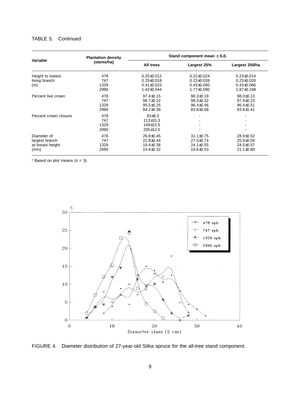# TABLE 5. Continued

|                       | <b>Plantation density</b> |                  | Stand component mean $\pm$ S.E. |                  |
|-----------------------|---------------------------|------------------|---------------------------------|------------------|
| Variable              | (stems/ha)                | All trees        | Largest 25%                     | Largest 250/ha   |
| Height to lowest      | 478                       | $0.25 \pm 0.012$ | $0.22 \pm 0.024$                | $0.23 \pm 0.014$ |
| living branch         | 747                       | $0.29 \pm 0.018$ | $0.23 \pm 0.039$                | $0.23 \pm 0.026$ |
| (m)                   | 1329                      | $0.41 \pm 0.023$ | $0.43 \pm 0.060$                | $0.43 \pm 0.066$ |
|                       | 2990                      | $1.42 \pm 0.044$ | 1.77±0.090                      | $1.87 \pm 0.188$ |
| Percent live crown    | 478                       | $97.4 \pm 0.15$  | $98.3{\pm}0.19$                 | $98.0 \pm 0.13$  |
|                       | 747                       | 96.7±0.22        | 98.0±0.32                       | 97.9±0.23        |
|                       | 1329                      | $95.5 \pm 0.25$  | $96.4 \pm 0.46$                 | $96.4 \pm 0.51$  |
|                       | 2990                      | 84.2±0.38        | 83.8±0.68                       | $83.8 \pm 1.41$  |
| Percent crown closure | 478                       | $83\pm8.3$       |                                 |                  |
|                       | 747                       | $113 \pm 15.3$   |                                 |                  |
|                       | 1329                      | 149±12.6         |                                 |                  |
|                       | 2990                      | 205±12.0         |                                 |                  |
| Diameter of           | 478                       | $26.8 \pm 0.45$  | $31.1 \pm 0.75$                 | $28.9 \pm 0.52$  |
| largest branch        | 747                       | $22.8 \pm 0.44$  | 27.0±0.74                       | $25.9 \pm 0.59$  |
| at breast height      | 1329                      | $19.4 \pm 0.38$  | 24.1±0.55                       | $24.5 \pm 0.57$  |
| (mm)                  | 2990                      | 15.9±0.32        | $19.6 \pm 0.53$                 | $21.1 \pm 0.80$  |

<span id="page-14-0"></span> $a$  Based on plot means (n = 3).



FIGURE 4. Diameter distribution of 27-year-old Sitka spruce for the all-tree stand component.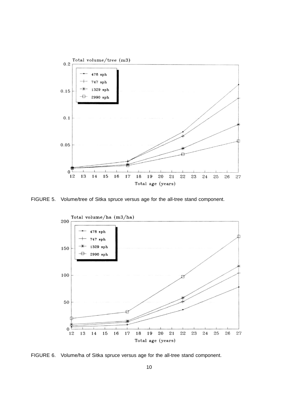<span id="page-15-0"></span>

<span id="page-15-1"></span>FIGURE 5. Volume/tree of Sitka spruce versus age for the all-tree stand component.



FIGURE 6. Volume/ha of Sitka spruce versus age for the all-tree stand component.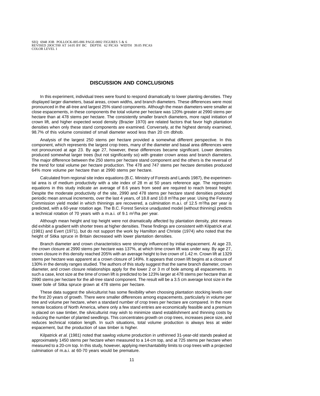## **DISCUSSION AND CONCLUSIONS**

<span id="page-16-0"></span>In this experiment, individual trees were found to respond dramatically to lower planting densities. They displayed larger diameters, basal areas, crown widths, and branch diameters. These differences were most pronounced in the all-tree and largest 25% stand components. Although the mean diameters were smaller at close espacements, in these components the total volume per hectare was 120% greater at 2990 stems per hectare than at 478 stems per hectare. The consistently smaller branch diameters, more rapid initiation of crown lift, and higher expected wood density (Brazier 1970) are related factors that favor high plantation densities when only these stand components are examined. Conversely, at the highest density examined, 98.7% of this volume consisted of small diameter wood less than 20 cm dbhob.

Analysis of the largest 250 stems per hectare provided a somewhat different perspective. In this component, which represents the largest crop trees, many of the diameter and basal area differences were not pronounced at age 23. By age 27, however, these differences became significant. Lower densities produced somewhat larger trees (but not significantly so) with greater crown areas and branch diameters. The major difference between the 250 stems per hectare stand component and the others is the reversal of the trend for total volume per hectare production. The 478 and 747 stems per hectare densities produced 64% more volume per hectare than at 2990 stems per hectare.

Calculated from regional site index equations (B.C. Ministry of Forests and Lands 1987), the experimental area is of medium productivity with a site index of 28 m at 50 years reference age. The regression equations in this study indicate an average of 8.6 years from seed are required to reach breast height. Despite the moderate productivity of the site, 2990 and 478 stems per hectare stand densities produced periodic mean annual increments, over the last 4 years, of 18.8 and 10.8 m3/ha per year. Using the Forestry Commission yield model in which thinnings are recovered, a culmination m.a.i. of 12.5 m<sup>3</sup>/ha per year is predicted, with a 60-year rotation age. The B.C. Forest Service unadjusted model (without thinning) predicts a technical rotation of 70 years with a m.a.i. of 9.1 m<sup>3</sup>/ha per year.

Although mean height and top height were not dramatically affected by plantation density, plot means did exhibit a gradient with shorter trees at higher densities. These findings are consistent with Kilpatrick et al. (1981) and Evert (1971), but do not support the work by Hamilton and Christie (1974) who noted that the height of Sitka spruce in Britain decreased with lower plantation densities.

Branch diameter and crown characteristics were strongly influenced by initial espacement. At age 23, the crown closure at 2990 stems per hectare was 137%, at which time crown lift was under way. By age 27, crown closure in this density reached 205% with an average height to live crown of 1.42 m. Crown lift at 1329 stems per hectare was apparent at a crown closure of 149%. It appears that crown lift begins at a closure of 130% in the density ranges studied. The authors of this study suggest that the same branch diameter, crown diameter, and crown closure relationships apply for the lower 2 or 3 m of bole among all espacements. In such a case, knot size at the time of crown lift is predicted to be 123% larger at 478 stems per hectare than at 2990 stems per hectare for the all-tree stand component. The result will be a 3.5 cm average knot size in the lower bole of Sitka spruce grown at 478 stems per hectare.

These data suggest the silviculturist has some flexibility when choosing plantation stocking levels over the first 20 years of growth. There were smaller differences among espacements, particularly in volume per tree and volume per hectare, when a standard number of crop trees per hectare are compared. In the more remote locations of North America, where only a few stand entries are economically feasible and a premium is placed on saw timber, the silviculturist may wish to minimize stand establishment and thinning costs by reducing the number of planted seedlings. This concentrates growth on crop trees, increases piece size, and reduces technical rotation length. In such situations, total volume production is always less at wider espacement, but the production of saw timber is higher.

Kilpatrick et al. (1981) noted that sawlog volume production in unthinned 31-year-old stands peaked at approximately 1450 stems per hectare when measured to a 14-cm top, and at 725 stems per hectare when measured to a 20-cm top. In this study, however, applying merchantability limits to crop trees with a projected culmination of m.a.i. at 60-70 years would be premature.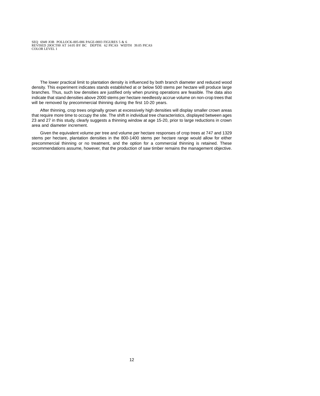The lower practical limit to plantation density is influenced by both branch diameter and reduced wood density. This experiment indicates stands established at or below 500 stems per hectare will produce large branches. Thus, such low densities are justified only when pruning operations are feasible. The data also indicate that stand densities above 2000 stems per hectare needlessly accrue volume on non-crop trees that will be removed by precommercial thinning during the first 10-20 years.

After thinning, crop trees originally grown at excessively high densities will display smaller crown areas that require more time to occupy the site. The shift in individual tree characteristics, displayed between ages 23 and 27 in this study, clearly suggests a thinning window at age 15-20, prior to large reductions in crown area and diameter increment.

Given the equivalent volume per tree and volume per hectare responses of crop trees at 747 and 1329 stems per hectare, plantation densities in the 800-1400 stems per hectare range would allow for either precommercial thinning or no treatment, and the option for a commercial thinning is retained. These recommendations assume, however, that the production of saw timber remains the management objective.